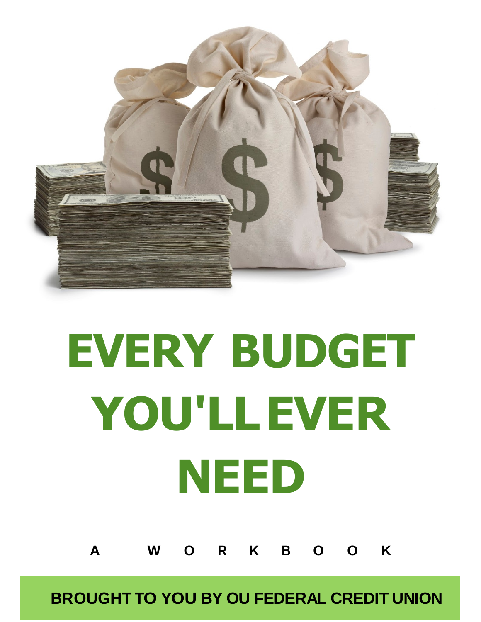

# EVERY BUDGET YOU'LL EVER NEED

**A W O R K B O O K**

**BROUGHT TO YOU BY OU FEDERAL CREDIT UNION**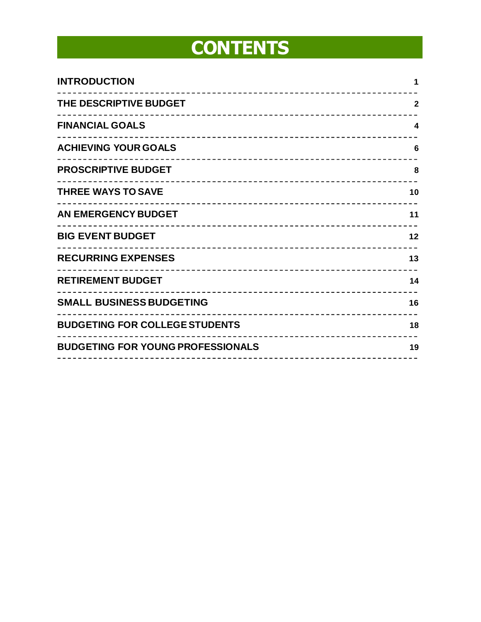## **CONTENTS**

| <b>INTRODUCTION</b>                      | 1            |
|------------------------------------------|--------------|
| THE DESCRIPTIVE BUDGET                   | $\mathbf{2}$ |
| <b>FINANCIAL GOALS</b>                   | 4            |
| <b>ACHIEVING YOUR GOALS</b>              | 6            |
| <b>PROSCRIPTIVE BUDGET</b>               | 8            |
| <b>THREE WAYS TO SAVE</b>                | 10           |
| <b>AN EMERGENCY BUDGET</b>               | 11           |
| <b>BIG EVENT BUDGET</b>                  | 12           |
| <b>RECURRING EXPENSES</b>                | 13           |
| <b>RETIREMENT BUDGET</b>                 | 14           |
| <b>SMALL BUSINESS BUDGETING</b>          | 16           |
| <b>BUDGETING FOR COLLEGE STUDENTS</b>    | 18           |
| <b>BUDGETING FOR YOUNG PROFESSIONALS</b> | 19           |
|                                          |              |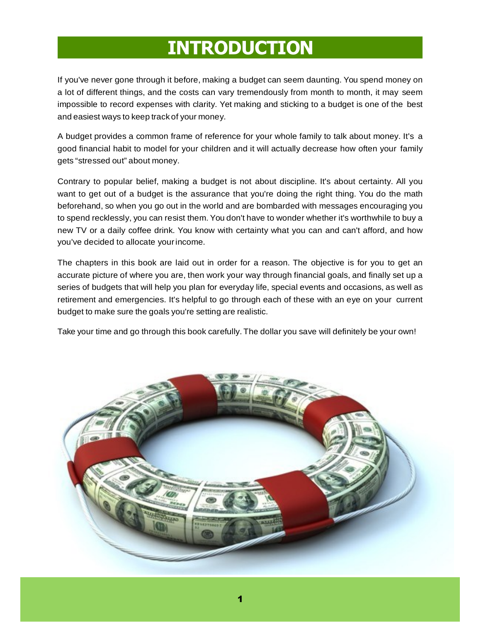## INTRODUCTION

If you've never gone through it before, making a budget can seem daunting. You spend money on a lot of different things, and the costs can vary tremendously from month to month, it may seem impossible to record expenses with clarity. Yet making and sticking to a budget is one of the best and easiest ways to keep track of your money.

A budget provides a common frame of reference for your whole family to talk about money. It's a good financial habit to model for your children and it will actually decrease how often your family gets "stressed out" about money.

Contrary to popular belief, making a budget is not about discipline. It's about certainty. All you want to get out of a budget is the assurance that you're doing the right thing. You do the math beforehand, so when you go out in the world and are bombarded with messages encouraging you to spend recklessly, you can resist them. You don't have to wonder whether it's worthwhile to buy a new TV or a daily coffee drink. You know with certainty what you can and can't afford, and how you've decided to allocate your income.

The chapters in this book are laid out in order for a reason. The objective is for you to get an accurate picture of where you are, then work your way through financial goals, and finally set up a series of budgets that will help you plan for everyday life, special events and occasions, as well as retirement and emergencies. It's helpful to go through each of these with an eye on your current budget to make sure the goals you're setting are realistic.

Take your time and go through this book carefully. The dollar you save will definitely be your own!

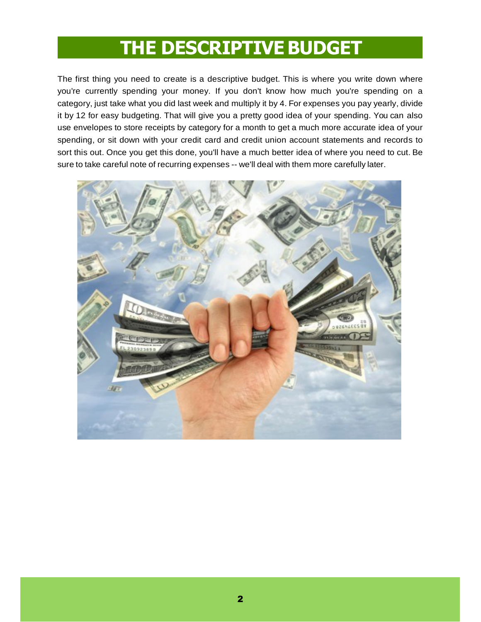#### THE DESCRIPTIVE BUDGET

The first thing you need to create is a descriptive budget. This is where you write down where you're currently spending your money. If you don't know how much you're spending on a category, just take what you did last week and multiply it by 4. For expenses you pay yearly, divide it by 12 for easy budgeting. That will give you a pretty good idea of your spending. You can also use envelopes to store receipts by category for a month to get a much more accurate idea of your spending, or sit down with your credit card and credit union account statements and records to sort this out. Once you get this done, you'll have a much better idea of where you need to cut. Be sure to take careful note of recurring expenses -- we'll deal with them more carefully later.

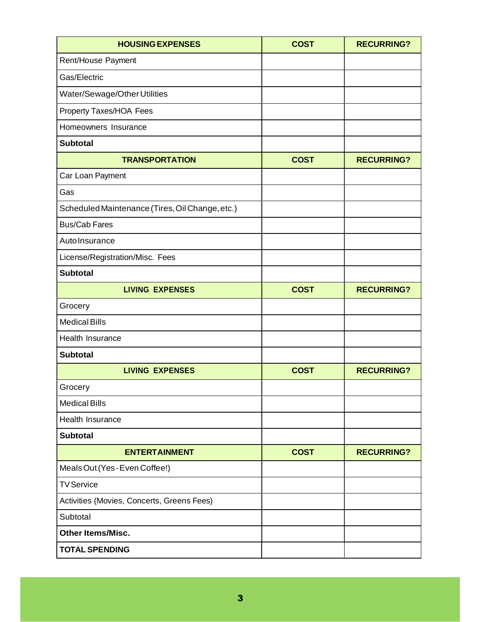| <b>HOUSING EXPENSES</b>                         | <b>COST</b> | <b>RECURRING?</b> |
|-------------------------------------------------|-------------|-------------------|
| Rent/House Payment                              |             |                   |
| Gas/Electric                                    |             |                   |
| Water/Sewage/Other Utilities                    |             |                   |
| Property Taxes/HOA Fees                         |             |                   |
| Homeowners Insurance                            |             |                   |
| <b>Subtotal</b>                                 |             |                   |
| <b>TRANSPORTATION</b>                           | <b>COST</b> | <b>RECURRING?</b> |
| Car Loan Payment                                |             |                   |
| Gas                                             |             |                   |
| Scheduled Maintenance (Tires, Oil Change, etc.) |             |                   |
| <b>Bus/Cab Fares</b>                            |             |                   |
| Auto Insurance                                  |             |                   |
| License/Registration/Misc. Fees                 |             |                   |
| <b>Subtotal</b>                                 |             |                   |
| <b>LIVING EXPENSES</b>                          | <b>COST</b> | <b>RECURRING?</b> |
| Grocery                                         |             |                   |
| <b>Medical Bills</b>                            |             |                   |
| Health Insurance                                |             |                   |
| <b>Subtotal</b>                                 |             |                   |
| <b>LIVING EXPENSES</b>                          | <b>COST</b> | <b>RECURRING?</b> |
| Grocery                                         |             |                   |
| <b>Medical Bills</b>                            |             |                   |
| Health Insurance                                |             |                   |
| <b>Subtotal</b>                                 |             |                   |
| <b>ENTERTAINMENT</b>                            | <b>COST</b> | <b>RECURRING?</b> |
| Meals Out (Yes - Even Coffee!)                  |             |                   |
| <b>TV Service</b>                               |             |                   |
| Activities (Movies, Concerts, Greens Fees)      |             |                   |
| Subtotal                                        |             |                   |
| <b>Other Items/Misc.</b>                        |             |                   |
| <b>TOTAL SPENDING</b>                           |             |                   |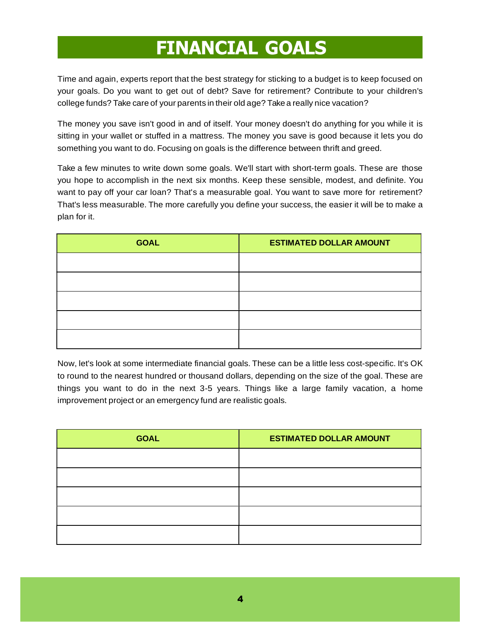#### FINANCIAL GOALS

Time and again, experts report that the best strategy for sticking to a budget is to keep focused on your goals. Do you want to get out of debt? Save for retirement? Contribute to your children's college funds? Take care of your parents in their old age? Take a really nice vacation?

The money you save isn't good in and of itself. Your money doesn't do anything for you while it is sitting in your wallet or stuffed in a mattress. The money you save is good because it lets you do something you want to do. Focusing on goals is the difference between thrift and greed.

Take a few minutes to write down some goals. We'll start with short-term goals. These are those you hope to accomplish in the next six months. Keep these sensible, modest, and definite. You want to pay off your car loan? That's a measurable goal. You want to save more for retirement? That's less measurable. The more carefully you define your success, the easier it will be to make a plan for it.

| <b>GOAL</b> | <b>ESTIMATED DOLLAR AMOUNT</b> |
|-------------|--------------------------------|
|             |                                |
|             |                                |
|             |                                |
|             |                                |
|             |                                |

Now, let's look at some intermediate financial goals. These can be a little less cost-specific. It's OK to round to the nearest hundred or thousand dollars, depending on the size of the goal. These are things you want to do in the next 3-5 years. Things like a large family vacation, a home improvement project or an emergency fund are realistic goals.

| <b>GOAL</b> | <b>ESTIMATED DOLLAR AMOUNT</b> |
|-------------|--------------------------------|
|             |                                |
|             |                                |
|             |                                |
|             |                                |
|             |                                |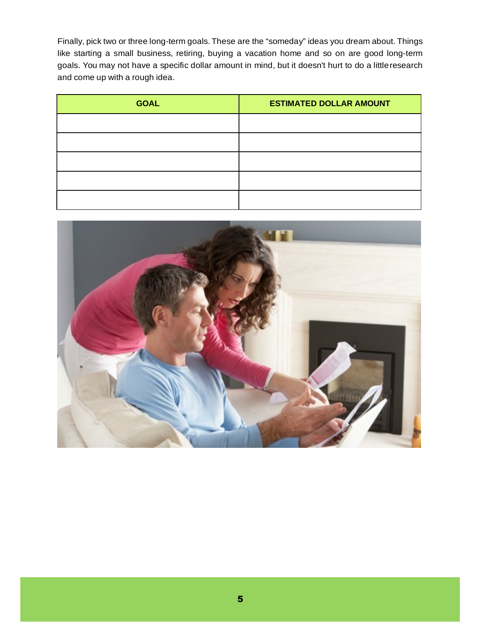Finally, pick two or three long-term goals. These are the "someday" ideas you dream about. Things like starting a small business, retiring, buying a vacation home and so on are good long-term goals. You may not have a specific dollar amount in mind, but it doesn't hurt to do a little research and come up with a rough idea.

| <b>GOAL</b> | <b>ESTIMATED DOLLAR AMOUNT</b> |
|-------------|--------------------------------|
|             |                                |
|             |                                |
|             |                                |
|             |                                |
|             |                                |

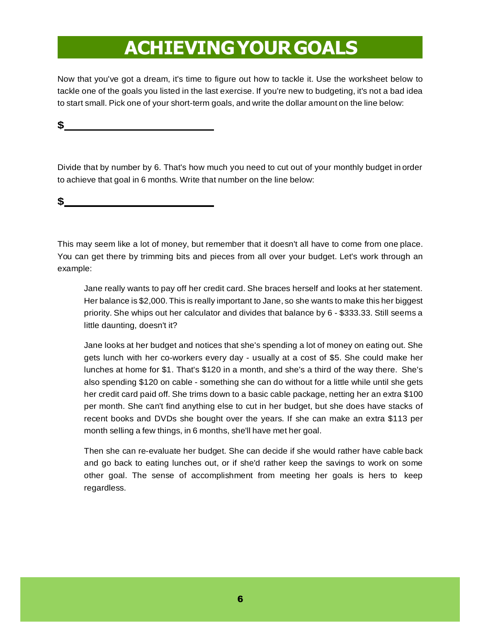#### ACHIEVING YOUR GOALS

Now that you've got a dream, it's time to figure out how to tackle it. Use the worksheet below to tackle one of the goals you listed in the last exercise. If you're new to budgeting, it's not a bad idea to start small. Pick one of your short-term goals, and write the dollar amount on the line below:

#### **\$**

Divide that by number by 6. That's how much you need to cut out of your monthly budget in order to achieve that goal in 6 months. Write that number on the line below:

#### **\$**

This may seem like a lot of money, but remember that it doesn't all have to come from one place. You can get there by trimming bits and pieces from all over your budget. Let's work through an example:

Jane really wants to pay off her credit card. She braces herself and looks at her statement. Her balance is \$2,000. This is really important to Jane, so she wants to make this her biggest priority. She whips out her calculator and divides that balance by 6 - \$333.33. Still seems a little daunting, doesn't it?

Jane looks at her budget and notices that she's spending a lot of money on eating out. She gets lunch with her co-workers every day - usually at a cost of \$5. She could make her lunches at home for \$1. That's \$120 in a month, and she's a third of the way there. She's also spending \$120 on cable - something she can do without for a little while until she gets her credit card paid off. She trims down to a basic cable package, netting her an extra \$100 per month. She can't find anything else to cut in her budget, but she does have stacks of recent books and DVDs she bought over the years. If she can make an extra \$113 per month selling a few things, in 6 months, she'll have met her goal.

Then she can re-evaluate her budget. She can decide if she would rather have cable back and go back to eating lunches out, or if she'd rather keep the savings to work on some other goal. The sense of accomplishment from meeting her goals is hers to keep regardless.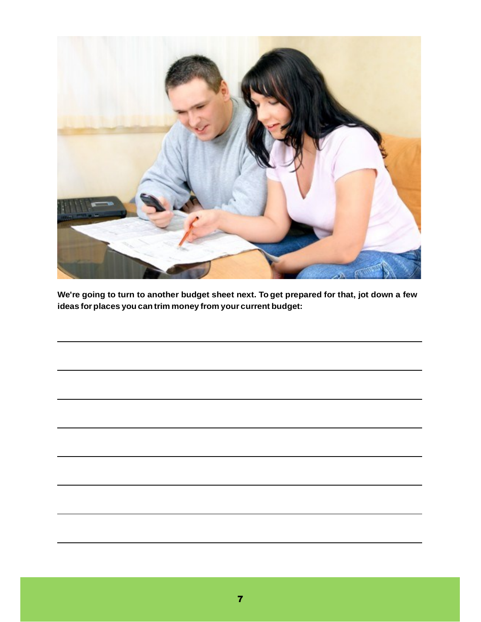

**We're going to turn to another budget sheet next. To get prepared for that, jot down a few ideas for places you can trim money from your current budget:**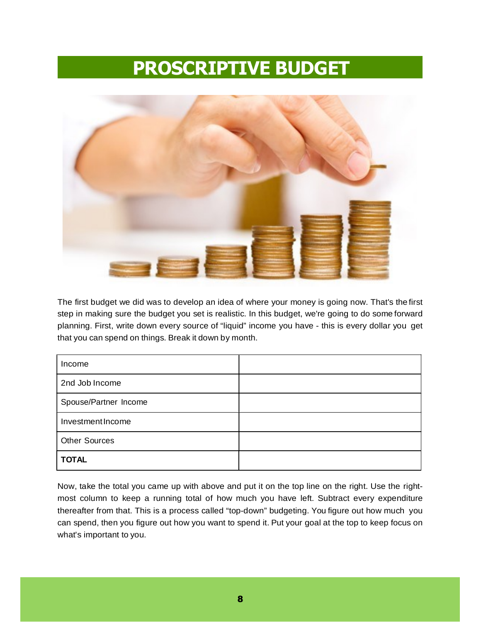#### PROSCRIPTIVE BUDGET



The first budget we did was to develop an idea of where your money is going now. That's the first step in making sure the budget you set is realistic. In this budget, we're going to do some forward planning. First, write down every source of "liquid" income you have - this is every dollar you get that you can spend on things. Break it down by month.

| Income                |  |
|-----------------------|--|
| 2nd Job Income        |  |
| Spouse/Partner Income |  |
| Investment Income     |  |
| Other Sources         |  |
| <b>TOTAL</b>          |  |

Now, take the total you came up with above and put it on the top line on the right. Use the rightmost column to keep a running total of how much you have left. Subtract every expenditure thereafter from that. This is a process called "top-down" budgeting. You figure out how much you can spend, then you figure out how you want to spend it. Put your goal at the top to keep focus on what's important to you.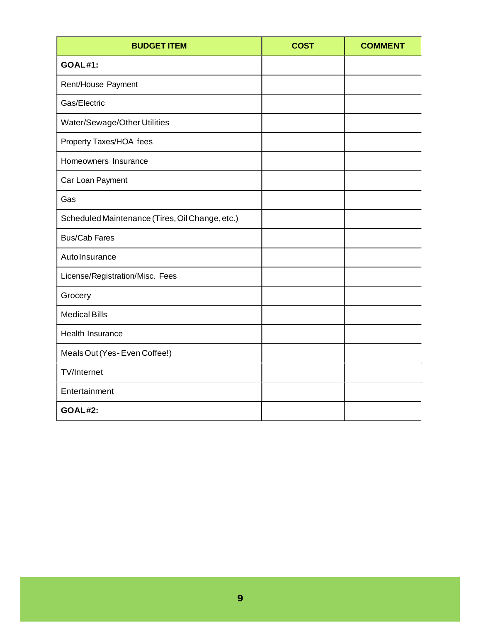| <b>BUDGET ITEM</b>                              | <b>COST</b> | <b>COMMENT</b> |
|-------------------------------------------------|-------------|----------------|
| <b>GOAL#1:</b>                                  |             |                |
| Rent/House Payment                              |             |                |
| Gas/Electric                                    |             |                |
| Water/Sewage/Other Utilities                    |             |                |
| Property Taxes/HOA fees                         |             |                |
| Homeowners Insurance                            |             |                |
| Car Loan Payment                                |             |                |
| Gas                                             |             |                |
| Scheduled Maintenance (Tires, Oil Change, etc.) |             |                |
| <b>Bus/Cab Fares</b>                            |             |                |
| AutoInsurance                                   |             |                |
| License/Registration/Misc. Fees                 |             |                |
| Grocery                                         |             |                |
| <b>Medical Bills</b>                            |             |                |
| Health Insurance                                |             |                |
| Meals Out (Yes-Even Coffee!)                    |             |                |
| <b>TV/Internet</b>                              |             |                |
| Entertainment                                   |             |                |
| <b>GOAL#2:</b>                                  |             |                |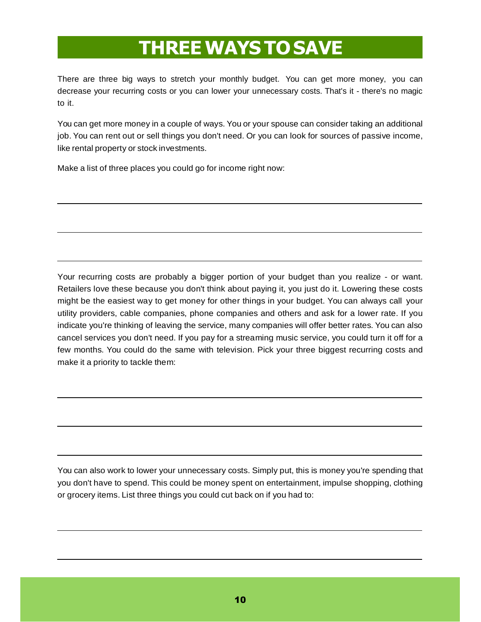### THREE WAYS TO SAVE

There are three big ways to stretch your monthly budget. You can get more money, you can decrease your recurring costs or you can lower your unnecessary costs. That's it - there's no magic to it.

You can get more money in a couple of ways. You or your spouse can consider taking an additional job. You can rent out or sell things you don't need. Or you can look for sources of passive income, like rental property or stock investments.

Make a list of three places you could go for income right now:

Your recurring costs are probably a bigger portion of your budget than you realize - or want. Retailers love these because you don't think about paying it, you just do it. Lowering these costs might be the easiest way to get money for other things in your budget. You can always call your utility providers, cable companies, phone companies and others and ask for a lower rate. If you indicate you're thinking of leaving the service, many companies will offer better rates. You can also cancel services you don't need. If you pay for a streaming music service, you could turn it off for a few months. You could do the same with television. Pick your three biggest recurring costs and make it a priority to tackle them:

You can also work to lower your unnecessary costs. Simply put, this is money you're spending that you don't have to spend. This could be money spent on entertainment, impulse shopping, clothing or grocery items. List three things you could cut back on if you had to: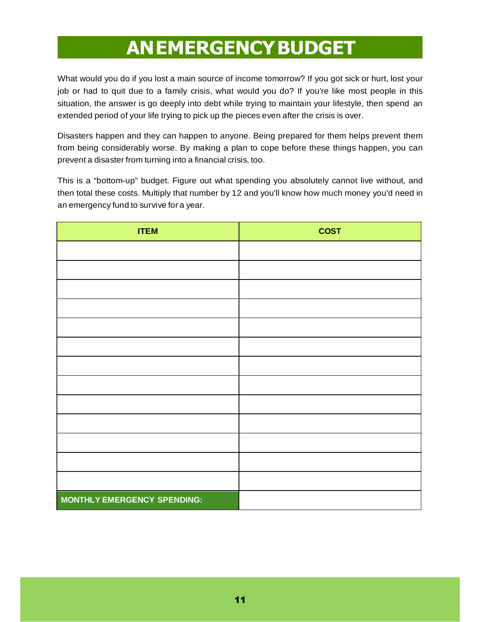#### AN EMERGENCY BUDGET

What would you do if you lost a main source of income tomorrow? If you got sick or hurt, lost your job or had to quit due to a family crisis, what would you do? If you're like most people in this situation, the answer is go deeply into debt while trying to maintain your lifestyle, then spend an extended period of your life trying to pick up the pieces even after the crisis is over.

Disasters happen and they can happen to anyone. Being prepared for them helps prevent them from being considerably worse. By making a plan to cope before these things happen, you can prevent a disaster from turning into a financial crisis, too.

This is a "bottom-up" budget. Figure out what spending you absolutely cannot live without, and then total these costs. Multiply that number by 12 and you'll know how much money you'd need in an emergency fund to survive for a year.

| <b>ITEM</b>                 | <b>COST</b> |
|-----------------------------|-------------|
|                             |             |
|                             |             |
|                             |             |
|                             |             |
|                             |             |
|                             |             |
|                             |             |
|                             |             |
|                             |             |
|                             |             |
|                             |             |
|                             |             |
|                             |             |
| MONTHLY EMERGENCY SPENDING: |             |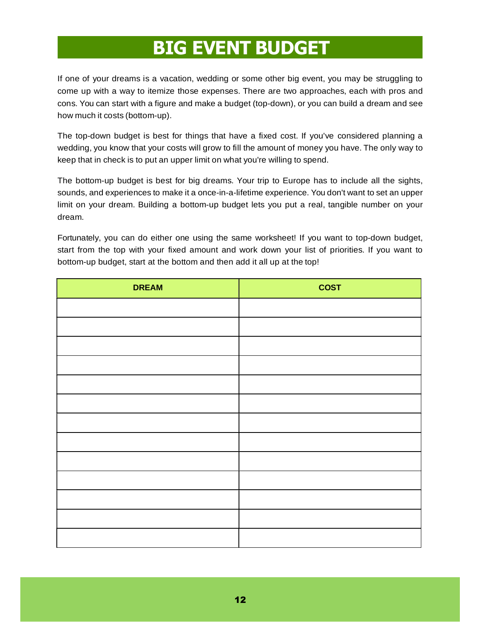#### BIG EVENT BUDGET

If one of your dreams is a vacation, wedding or some other big event, you may be struggling to come up with a way to itemize those expenses. There are two approaches, each with pros and cons. You can start with a figure and make a budget (top-down), or you can build a dream and see how much it costs (bottom-up).

The top-down budget is best for things that have a fixed cost. If you've considered planning a wedding, you know that your costs will grow to fill the amount of money you have. The only way to keep that in check is to put an upper limit on what you're willing to spend.

The bottom-up budget is best for big dreams. Your trip to Europe has to include all the sights, sounds, and experiences to make it a once-in-a-lifetime experience. You don't want to set an upper limit on your dream. Building a bottom-up budget lets you put a real, tangible number on your dream.

Fortunately, you can do either one using the same worksheet! If you want to top-down budget, start from the top with your fixed amount and work down your list of priorities. If you want to bottom-up budget, start at the bottom and then add it all up at the top!

| <b>DREAM</b> | <b>COST</b> |
|--------------|-------------|
|              |             |
|              |             |
|              |             |
|              |             |
|              |             |
|              |             |
|              |             |
|              |             |
|              |             |
|              |             |
|              |             |
|              |             |
|              |             |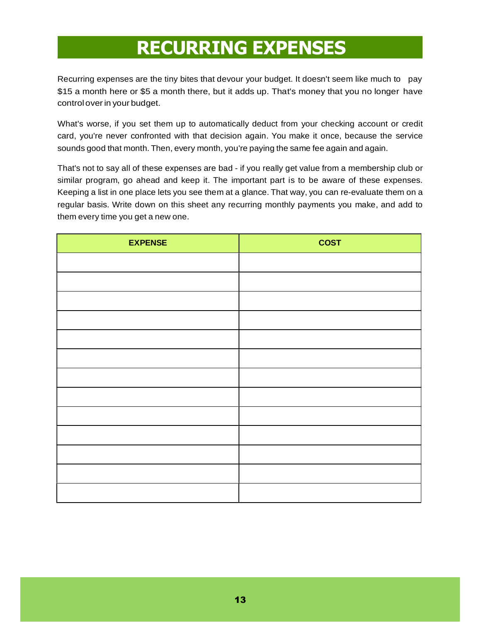#### RECURRING EXPENSES

Recurring expenses are the tiny bites that devour your budget. It doesn't seem like much to pay \$15 a month here or \$5 a month there, but it adds up. That's money that you no longer have control over in your budget.

What's worse, if you set them up to automatically deduct from your checking account or credit card, you're never confronted with that decision again. You make it once, because the service sounds good that month. Then, every month, you're paying the same fee again and again.

That's not to say all of these expenses are bad - if you really get value from a membership club or similar program, go ahead and keep it. The important part is to be aware of these expenses. Keeping a list in one place lets you see them at a glance. That way, you can re-evaluate them on a regular basis. Write down on this sheet any recurring monthly payments you make, and add to them every time you get a new one.

| <b>EXPENSE</b> | <b>COST</b> |
|----------------|-------------|
|                |             |
|                |             |
|                |             |
|                |             |
|                |             |
|                |             |
|                |             |
|                |             |
|                |             |
|                |             |
|                |             |
|                |             |
|                |             |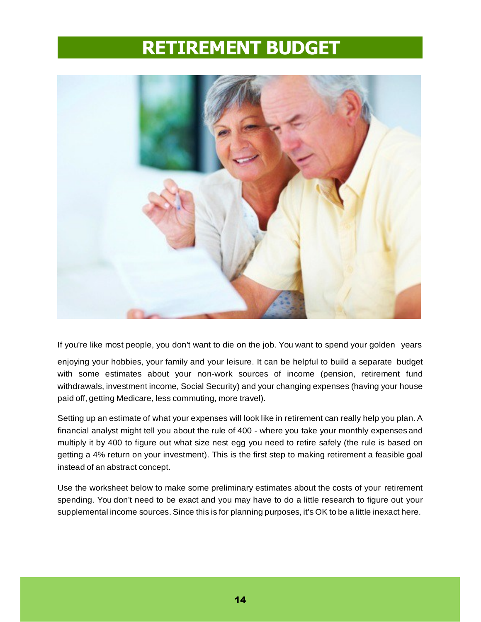#### RETIREMENT BUDGET



If you're like most people, you don't want to die on the job. You want to spend your golden years

enjoying your hobbies, your family and your leisure. It can be helpful to build a separate budget with some estimates about your non-work sources of income (pension, retirement fund withdrawals, investment income, Social Security) and your changing expenses (having your house paid off, getting Medicare, less commuting, more travel).

Setting up an estimate of what your expenses will look like in retirement can really help you plan. A financial analyst might tell you about the rule of 400 - where you take your monthly expenses and multiply it by 400 to figure out what size nest egg you need to retire safely (the rule is based on getting a 4% return on your investment). This is the first step to making retirement a feasible goal instead of an abstract concept.

Use the worksheet below to make some preliminary estimates about the costs of your retirement spending. You don't need to be exact and you may have to do a little research to figure out your supplemental income sources. Since this is for planning purposes, it's OK to be a little inexact here.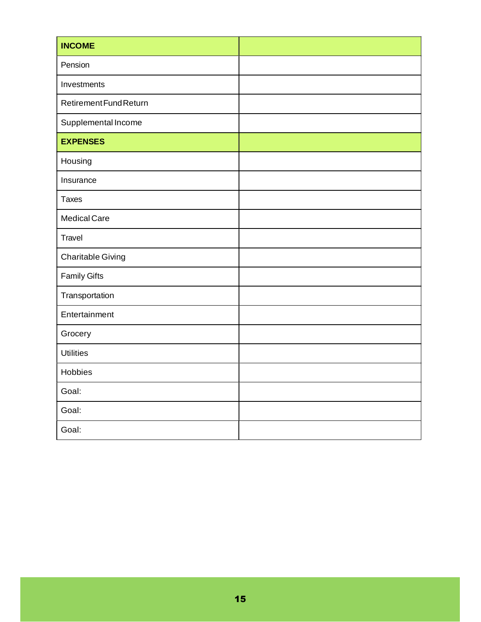| <b>INCOME</b>            |  |
|--------------------------|--|
| Pension                  |  |
| Investments              |  |
| Retirement Fund Return   |  |
| Supplemental Income      |  |
| <b>EXPENSES</b>          |  |
| Housing                  |  |
| Insurance                |  |
| <b>Taxes</b>             |  |
| <b>Medical Care</b>      |  |
| Travel                   |  |
| <b>Charitable Giving</b> |  |
| <b>Family Gifts</b>      |  |
| Transportation           |  |
| Entertainment            |  |
| Grocery                  |  |
| <b>Utilities</b>         |  |
| Hobbies                  |  |
| Goal:                    |  |
| Goal:                    |  |
| Goal:                    |  |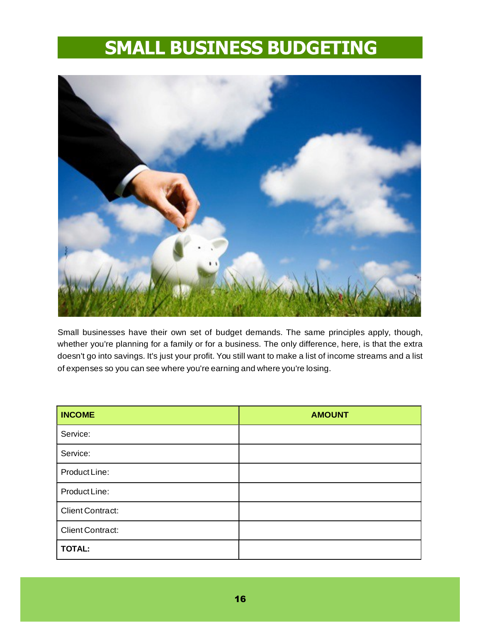#### SMALL BUSINESS BUDGETING



Small businesses have their own set of budget demands. The same principles apply, though, whether you're planning for a family or for a business. The only difference, here, is that the extra doesn't go into savings. It's just your profit. You still want to make a list of income streams and a list of expenses so you can see where you're earning and where you're losing.

| <b>INCOME</b>           | <b>AMOUNT</b> |
|-------------------------|---------------|
| Service:                |               |
| Service:                |               |
| Product Line:           |               |
| Product Line:           |               |
| <b>Client Contract:</b> |               |
| Client Contract:        |               |
| <b>TOTAL:</b>           |               |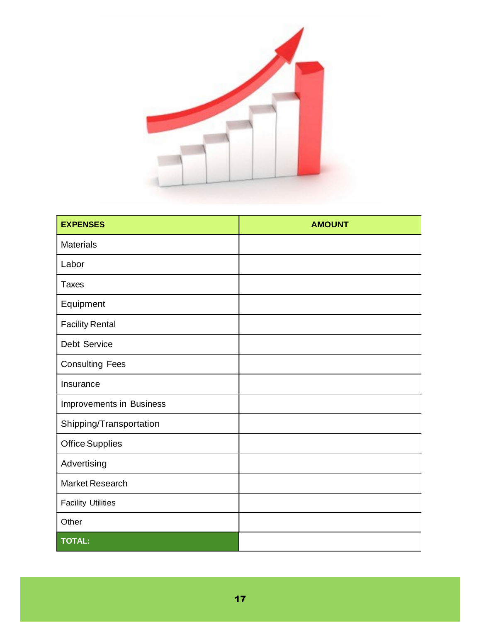

| <b>EXPENSES</b>           | <b>AMOUNT</b> |  |
|---------------------------|---------------|--|
| <b>Materials</b>          |               |  |
| Labor                     |               |  |
| <b>Taxes</b>              |               |  |
| Equipment                 |               |  |
| <b>Facility Rental</b>    |               |  |
| Debt Service              |               |  |
| <b>Consulting Fees</b>    |               |  |
| Insurance                 |               |  |
| Improvements in Business  |               |  |
| Shipping/Transportation   |               |  |
| <b>Office Supplies</b>    |               |  |
| Advertising               |               |  |
| <b>Market Research</b>    |               |  |
| <b>Facility Utilities</b> |               |  |
| Other                     |               |  |
| <b>TOTAL:</b>             |               |  |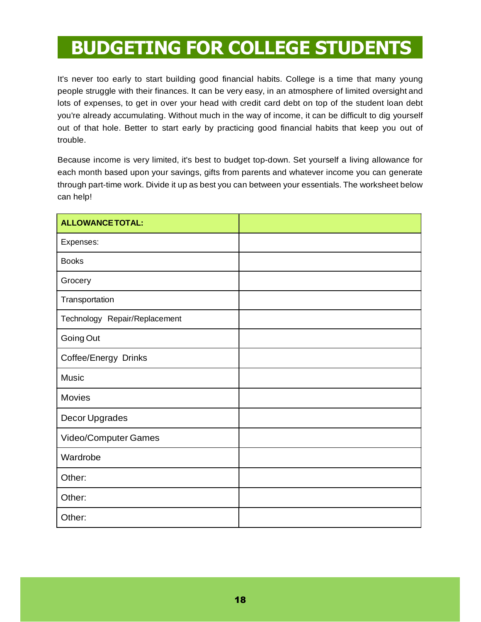#### BUDGETING FOR COLLEGE STUDENTS

It's never too early to start building good financial habits. College is a time that many young people struggle with their finances. It can be very easy, in an atmosphere of limited oversight and lots of expenses, to get in over your head with credit card debt on top of the student loan debt you're already accumulating. Without much in the way of income, it can be difficult to dig yourself out of that hole. Better to start early by practicing good financial habits that keep you out of trouble.

Because income is very limited, it's best to budget top-down. Set yourself a living allowance for each month based upon your savings, gifts from parents and whatever income you can generate through part-time work. Divide it up as best you can between your essentials. The worksheet below can help!

| <b>ALLOWANCE TOTAL:</b>       |  |
|-------------------------------|--|
| Expenses:                     |  |
| <b>Books</b>                  |  |
| Grocery                       |  |
| Transportation                |  |
| Technology Repair/Replacement |  |
| Going Out                     |  |
| Coffee/Energy Drinks          |  |
| Music                         |  |
| <b>Movies</b>                 |  |
| Decor Upgrades                |  |
| Video/Computer Games          |  |
| Wardrobe                      |  |
| Other:                        |  |
| Other:                        |  |
| Other:                        |  |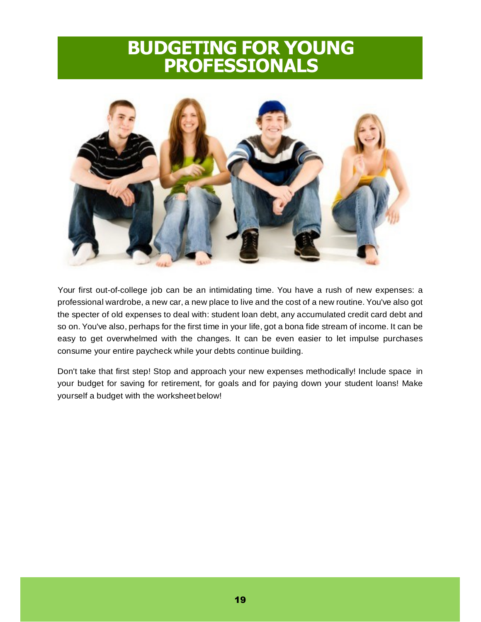#### BUDGETING FOR YOUNG PROFESSIONALS



Your first out-of-college job can be an intimidating time. You have a rush of new expenses: a professional wardrobe, a new car, a new place to live and the cost of a new routine. You've also got the specter of old expenses to deal with: student loan debt, any accumulated credit card debt and so on. You've also, perhaps for the first time in your life, got a bona fide stream of income. It can be easy to get overwhelmed with the changes. It can be even easier to let impulse purchases consume your entire paycheck while your debts continue building.

Don't take that first step! Stop and approach your new expenses methodically! Include space in your budget for saving for retirement, for goals and for paying down your student loans! Make yourself a budget with the worksheet below!